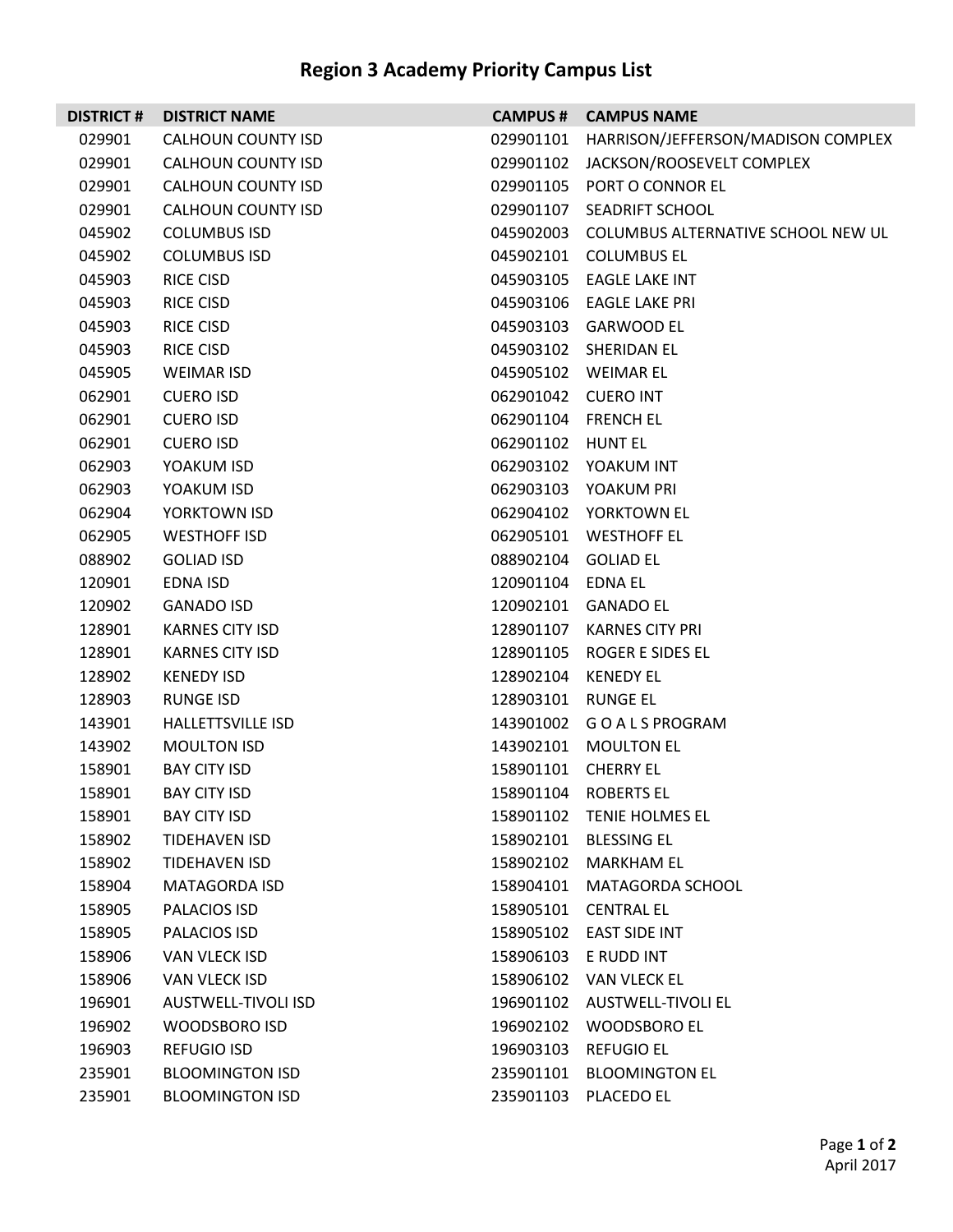## **Region 3 Academy Priority Campus List**

|        | <b>DISTRICT # DISTRICT NAME</b> |                     | <b>CAMPUS # CAMPUS NAME</b>                  |
|--------|---------------------------------|---------------------|----------------------------------------------|
| 029901 | <b>CALHOUN COUNTY ISD</b>       | 029901101           | HARRISON/JEFFERSON/MADISON COMPLEX           |
| 029901 | <b>CALHOUN COUNTY ISD</b>       | 029901102           | JACKSON/ROOSEVELT COMPLEX                    |
| 029901 | <b>CALHOUN COUNTY ISD</b>       |                     | 029901105 PORT O CONNOR EL                   |
| 029901 | <b>CALHOUN COUNTY ISD</b>       |                     | 029901107 SEADRIFT SCHOOL                    |
| 045902 | <b>COLUMBUS ISD</b>             |                     | 045902003 COLUMBUS ALTERNATIVE SCHOOL NEW UL |
| 045902 | <b>COLUMBUS ISD</b>             |                     | 045902101 COLUMBUS EL                        |
| 045903 | <b>RICE CISD</b>                |                     | 045903105 EAGLE LAKE INT                     |
| 045903 | <b>RICE CISD</b>                |                     | 045903106 EAGLE LAKE PRI                     |
| 045903 | <b>RICE CISD</b>                |                     | 045903103 GARWOOD EL                         |
| 045903 | <b>RICE CISD</b>                |                     | 045903102 SHERIDAN EL                        |
| 045905 | WEIMAR ISD                      |                     | 045905102 WEIMAR EL                          |
| 062901 | <b>CUERO ISD</b>                |                     | 062901042 CUERO INT                          |
| 062901 | <b>CUERO ISD</b>                |                     | 062901104 FRENCH EL                          |
| 062901 | <b>CUERO ISD</b>                | 062901102 HUNT EL   |                                              |
| 062903 | YOAKUM ISD                      |                     | 062903102 YOAKUM INT                         |
| 062903 | YOAKUM ISD                      |                     | 062903103 YOAKUM PRI                         |
| 062904 | YORKTOWN ISD                    |                     | 062904102 YORKTOWN EL                        |
| 062905 | <b>WESTHOFF ISD</b>             |                     | 062905101 WESTHOFF EL                        |
| 088902 | <b>GOLIAD ISD</b>               | 088902104 GOLIAD EL |                                              |
| 120901 | EDNA ISD                        | 120901104 EDNA EL   |                                              |
| 120902 | <b>GANADO ISD</b>               |                     | 120902101 GANADO EL                          |
| 128901 | <b>KARNES CITY ISD</b>          |                     | 128901107 KARNES CITY PRI                    |
| 128901 | <b>KARNES CITY ISD</b>          |                     | 128901105 ROGER E SIDES EL                   |
| 128902 | <b>KENEDY ISD</b>               |                     | 128902104 KENEDY EL                          |
| 128903 | <b>RUNGE ISD</b>                | 128903101           | <b>RUNGE EL</b>                              |
| 143901 | HALLETTSVILLE ISD               |                     | 143901002 GOALSPROGRAM                       |
| 143902 | <b>MOULTON ISD</b>              |                     | 143902101 MOULTON EL                         |
| 158901 | <b>BAY CITY ISD</b>             | 158901101 CHERRY EL |                                              |
| 158901 | <b>BAY CITY ISD</b>             |                     | 158901104 ROBERTS EL                         |
| 158901 | <b>BAY CITY ISD</b>             |                     | 158901102 TENIE HOLMES EL                    |
| 158902 | <b>TIDEHAVEN ISD</b>            |                     | 158902101 BLESSING EL                        |
| 158902 | <b>TIDEHAVEN ISD</b>            |                     | 158902102 MARKHAM EL                         |
| 158904 | <b>MATAGORDA ISD</b>            |                     | 158904101 MATAGORDA SCHOOL                   |
| 158905 | PALACIOS ISD                    |                     | 158905101 CENTRAL EL                         |
| 158905 | PALACIOS ISD                    |                     | 158905102    EAST SIDE INT                   |
| 158906 | VAN VLECK ISD                   |                     | 158906103 E RUDD INT                         |
| 158906 | VAN VLECK ISD                   |                     | 158906102 VAN VLECK EL                       |
| 196901 | AUSTWELL-TIVOLI ISD             |                     | 196901102 AUSTWELL-TIVOLI EL                 |
| 196902 | <b>WOODSBORO ISD</b>            |                     | 196902102 WOODSBORO EL                       |
| 196903 | REFUGIO ISD                     |                     | 196903103 REFUGIO EL                         |
| 235901 | <b>BLOOMINGTON ISD</b>          |                     | 235901101 BLOOMINGTON EL                     |
| 235901 | <b>BLOOMINGTON ISD</b>          |                     | 235901103 PLACEDO EL                         |